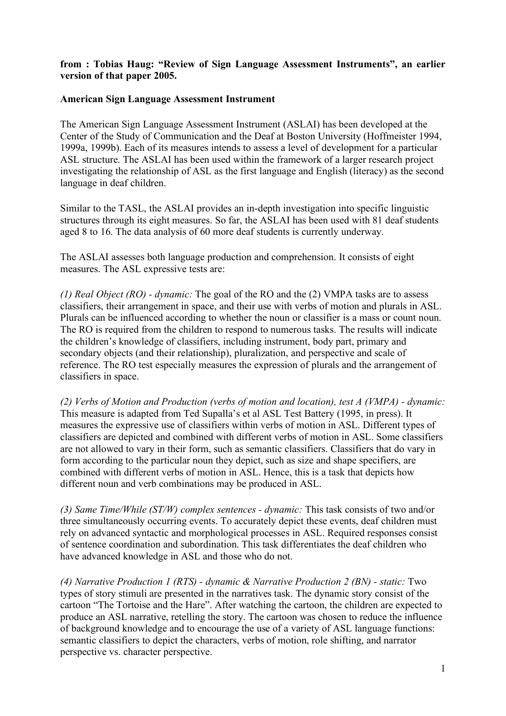## **from : Tobias Haug: "Review of Sign Language Assessment Instruments", an earlier version of that paper 2005.**

## **American Sign Language Assessment Instrument**

The American Sign Language Assessment Instrument (ASLAI) has been developed at the Center of the Study of Communication and the Deaf at Boston University (Hoffmeister 1994, 1999a, 1999b). Each of its measures intends to assess a level of development for a particular ASL structure. The ASLAI has been used within the framework of a larger research project investigating the relationship of ASL as the first language and English (literacy) as the second language in deaf children.

Similar to the TASL, the ASLAI provides an in-depth investigation into specific linguistic structures through its eight measures. So far, the ASLAI has been used with 81 deaf students aged 8 to 16. The data analysis of 60 more deaf students is currently underway.

The ASLAI assesses both language production and comprehension. It consists of eight measures. The ASL expressive tests are:

*(1) Real Object (RO) - dynamic:* The goal of the RO and the (2) VMPA tasks are to assess classifiers, their arrangement in space, and their use with verbs of motion and plurals in ASL. Plurals can be influenced according to whether the noun or classifier is a mass or count noun. The RO is required from the children to respond to numerous tasks. The results will indicate the children's knowledge of classifiers, including instrument, body part, primary and secondary objects (and their relationship), pluralization, and perspective and scale of reference. The RO test especially measures the expression of plurals and the arrangement of classifiers in space.

*(2) Verbs of Motion and Production (verbs of motion and location), test A (VMPA) - dynamic:* This measure is adapted from Ted Supalla's et al ASL Test Battery (1995, in press). It measures the expressive use of classifiers within verbs of motion in ASL. Different types of classifiers are depicted and combined with different verbs of motion in ASL. Some classifiers are not allowed to vary in their form, such as semantic classifiers. Classifiers that do vary in form according to the particular noun they depict, such as size and shape specifiers, are combined with different verbs of motion in ASL. Hence, this is a task that depicts how different noun and verb combinations may be produced in ASL.

*(3) Same Time/While (ST/W) complex sentences - dynamic:* This task consists of two and/or three simultaneously occurring events. To accurately depict these events, deaf children must rely on advanced syntactic and morphological processes in ASL. Required responses consist of sentence coordination and subordination. This task differentiates the deaf children who have advanced knowledge in ASL and those who do not.

*(4) Narrative Production 1 (RTS) - dynamic & Narrative Production 2 (BN) - static:* Two types of story stimuli are presented in the narratives task. The dynamic story consist of the cartoon "The Tortoise and the Hare". After watching the cartoon, the children are expected to produce an ASL narrative, retelling the story. The cartoon was chosen to reduce the influence of background knowledge and to encourage the use of a variety of ASL language functions: semantic classifiers to depict the characters, verbs of motion, role shifting, and narrator perspective vs. character perspective.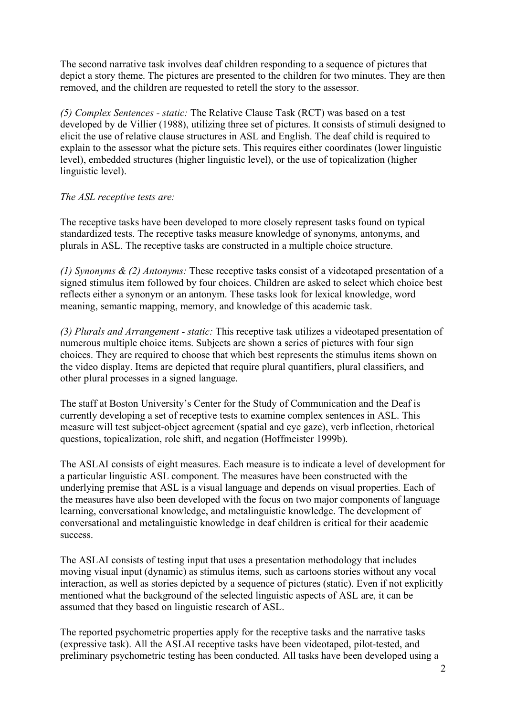The second narrative task involves deaf children responding to a sequence of pictures that depict a story theme. The pictures are presented to the children for two minutes. They are then removed, and the children are requested to retell the story to the assessor.

*(5) Complex Sentences - static:* The Relative Clause Task (RCT) was based on a test developed by de Villier (1988), utilizing three set of pictures. It consists of stimuli designed to elicit the use of relative clause structures in ASL and English. The deaf child is required to explain to the assessor what the picture sets. This requires either coordinates (lower linguistic level), embedded structures (higher linguistic level), or the use of topicalization (higher linguistic level).

## *The ASL receptive tests are:*

The receptive tasks have been developed to more closely represent tasks found on typical standardized tests. The receptive tasks measure knowledge of synonyms, antonyms, and plurals in ASL. The receptive tasks are constructed in a multiple choice structure.

*(1) Synonyms & (2) Antonyms:* These receptive tasks consist of a videotaped presentation of a signed stimulus item followed by four choices. Children are asked to select which choice best reflects either a synonym or an antonym. These tasks look for lexical knowledge, word meaning, semantic mapping, memory, and knowledge of this academic task.

*(3) Plurals and Arrangement - static:* This receptive task utilizes a videotaped presentation of numerous multiple choice items. Subjects are shown a series of pictures with four sign choices. They are required to choose that which best represents the stimulus items shown on the video display. Items are depicted that require plural quantifiers, plural classifiers, and other plural processes in a signed language.

The staff at Boston University's Center for the Study of Communication and the Deaf is currently developing a set of receptive tests to examine complex sentences in ASL. This measure will test subject-object agreement (spatial and eye gaze), verb inflection, rhetorical questions, topicalization, role shift, and negation (Hoffmeister 1999b).

The ASLAI consists of eight measures. Each measure is to indicate a level of development for a particular linguistic ASL component. The measures have been constructed with the underlying premise that ASL is a visual language and depends on visual properties. Each of the measures have also been developed with the focus on two major components of language learning, conversational knowledge, and metalinguistic knowledge. The development of conversational and metalinguistic knowledge in deaf children is critical for their academic success.

The ASLAI consists of testing input that uses a presentation methodology that includes moving visual input (dynamic) as stimulus items, such as cartoons stories without any vocal interaction, as well as stories depicted by a sequence of pictures (static). Even if not explicitly mentioned what the background of the selected linguistic aspects of ASL are, it can be assumed that they based on linguistic research of ASL.

The reported psychometric properties apply for the receptive tasks and the narrative tasks (expressive task). All the ASLAI receptive tasks have been videotaped, pilot-tested, and preliminary psychometric testing has been conducted. All tasks have been developed using a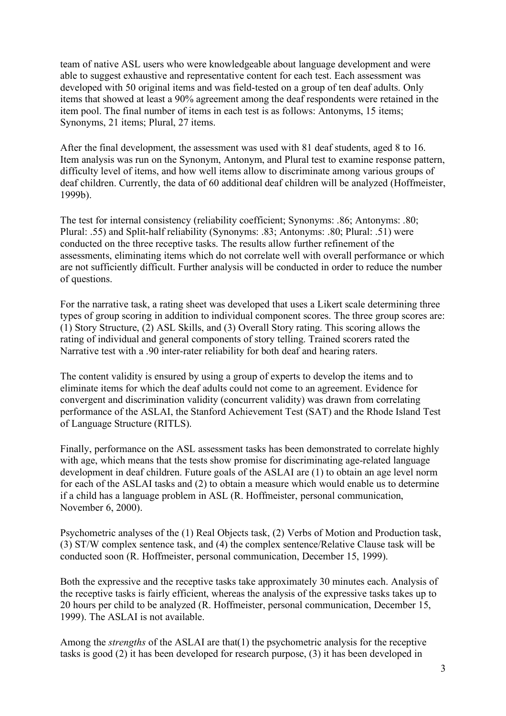team of native ASL users who were knowledgeable about language development and were able to suggest exhaustive and representative content for each test. Each assessment was developed with 50 original items and was field-tested on a group of ten deaf adults. Only items that showed at least a 90% agreement among the deaf respondents were retained in the item pool. The final number of items in each test is as follows: Antonyms, 15 items; Synonyms, 21 items; Plural, 27 items.

After the final development, the assessment was used with 81 deaf students, aged 8 to 16. Item analysis was run on the Synonym, Antonym, and Plural test to examine response pattern, difficulty level of items, and how well items allow to discriminate among various groups of deaf children. Currently, the data of 60 additional deaf children will be analyzed (Hoffmeister, 1999b).

The test for internal consistency (reliability coefficient; Synonyms: .86; Antonyms: .80; Plural: .55) and Split-half reliability (Synonyms: .83; Antonyms: .80; Plural: .51) were conducted on the three receptive tasks. The results allow further refinement of the assessments, eliminating items which do not correlate well with overall performance or which are not sufficiently difficult. Further analysis will be conducted in order to reduce the number of questions.

For the narrative task, a rating sheet was developed that uses a Likert scale determining three types of group scoring in addition to individual component scores. The three group scores are: (1) Story Structure, (2) ASL Skills, and (3) Overall Story rating. This scoring allows the rating of individual and general components of story telling. Trained scorers rated the Narrative test with a .90 inter-rater reliability for both deaf and hearing raters.

The content validity is ensured by using a group of experts to develop the items and to eliminate items for which the deaf adults could not come to an agreement. Evidence for convergent and discrimination validity (concurrent validity) was drawn from correlating performance of the ASLAI, the Stanford Achievement Test (SAT) and the Rhode Island Test of Language Structure (RITLS).

Finally, performance on the ASL assessment tasks has been demonstrated to correlate highly with age, which means that the tests show promise for discriminating age-related language development in deaf children. Future goals of the ASLAI are (1) to obtain an age level norm for each of the ASLAI tasks and (2) to obtain a measure which would enable us to determine if a child has a language problem in ASL (R. Hoffmeister, personal communication, November 6, 2000).

Psychometric analyses of the (1) Real Objects task, (2) Verbs of Motion and Production task, (3) ST/W complex sentence task, and (4) the complex sentence/Relative Clause task will be conducted soon (R. Hoffmeister, personal communication, December 15, 1999).

Both the expressive and the receptive tasks take approximately 30 minutes each. Analysis of the receptive tasks is fairly efficient, whereas the analysis of the expressive tasks takes up to 20 hours per child to be analyzed (R. Hoffmeister, personal communication, December 15, 1999). The ASLAI is not available.

Among the *strengths* of the ASLAI are that(1) the psychometric analysis for the receptive tasks is good (2) it has been developed for research purpose, (3) it has been developed in